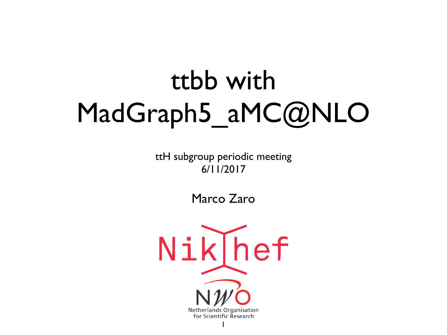# ttbb with MadGraph5\_aMC@NLO

ttH subgroup periodic meeting 6/11/2017

Marco Zaro

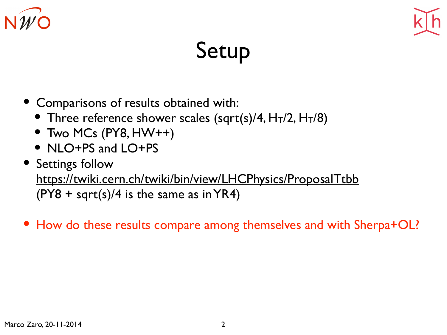



#### Setup

- Comparisons of results obtained with:
	- Three reference shower scales (sqrt(s)/4,  $H_T/2$ ,  $H_T/8$ )
	- Two MCs (PY8, HW++)
	- NLO+PS and LO+PS
- Settings follow <https://twiki.cern.ch/twiki/bin/view/LHCPhysics/ProposalTtbb>  $(PY8 + sqrt(s)/4$  is the same as in YR4)
- How do these results compare among themselves and with Sherpa+OL?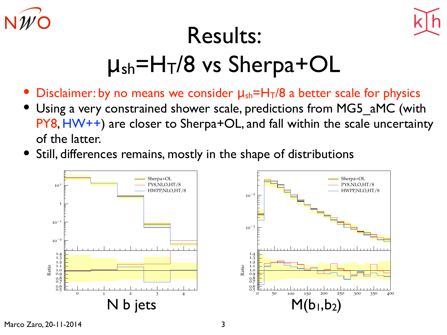



- **Disclaimer: by no means we consider**  $\mu_{sh} = H_T/8$  **a better scale for physics**
- Using a very constrained shower scale, predictions from MG5\_aMC (with PY8, HW++) are closer to Sherpa+OL, and fall within the scale uncertainty of the latter.
- Still, differences remains, mostly in the shape of distributions



Marco Zaro, 20-11-2014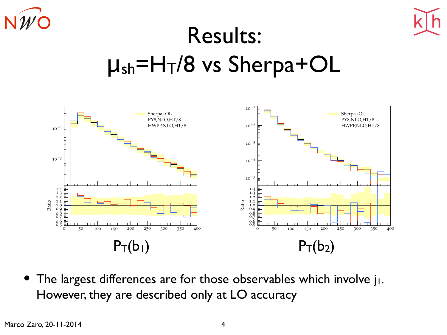



## Results:  $\mu_{sh}$ =H<sub>T</sub>/8 vs Sherpa+OL



• The largest differences are for those observables which involve j<sub>1</sub>. However, they are described only at LO accuracy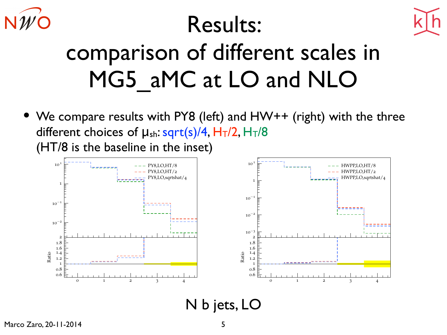



## comparison of different scales in MG5 aMC at LO and NLO

• We compare results with PY8 (left) and HW++ (right) with the three different choices of  $\mu_{sh}:$  sqrt(s)/4,  $H_T/2$ ,  $H_T/8$ (HT/8 is the baseline in the inset)



N b jets, LO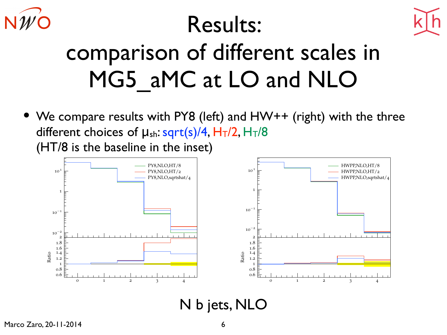



## comparison of different scales in MG5 aMC at LO and NLO

• We compare results with PY8 (left) and HW++ (right) with the three different choices of  $\mu_{sh}:$  sqrt(s)/4,  $H_T/2$ ,  $H_T/8$ (HT/8 is the baseline in the inset)



N b jets, NLO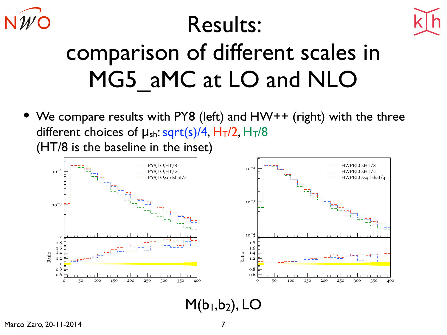



## comparison of different scales in MG5 aMC at LO and NLO

• We compare results with PY8 (left) and HW++ (right) with the three different choices of  $\mu_{sh}:$  sqrt(s)/4,  $H_T/2$ ,  $H_T/8$ (HT/8 is the baseline in the inset)



#### $M(b_1,b_2)$ , LO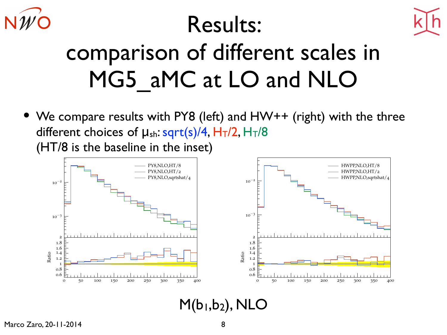



## comparison of different scales in MG5 aMC at LO and NLO

• We compare results with PY8 (left) and HW++ (right) with the three different choices of  $\mu_{sh}:$  sqrt(s)/4,  $H_T/2$ ,  $H_T/8$ (HT/8 is the baseline in the inset)



 $M(b_1,b_2)$ , NLO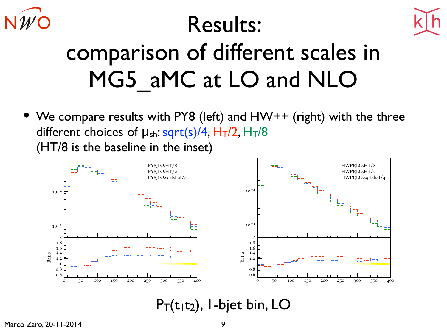



## comparison of different scales in MG5 aMC at LO and NLO

• We compare results with PY8 (left) and HW++ (right) with the three different choices of  $\mu_{sh}:$  sqrt(s)/4,  $H_T/2$ ,  $H_T/8$ (HT/8 is the baseline in the inset)



#### $P_T(t_1t_2)$ , I-bjet bin, LO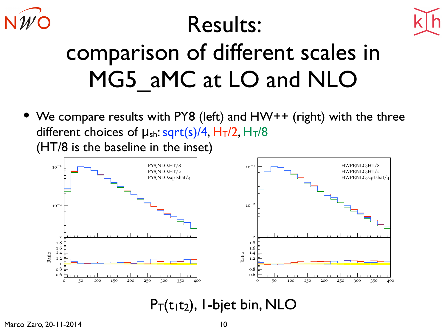



## comparison of different scales in MG5 aMC at LO and NLO

• We compare results with PY8 (left) and HW++ (right) with the three different choices of  $\mu_{sh}:$  sqrt(s)/4,  $H_T/2$ ,  $H_T/8$ (HT/8 is the baseline in the inset)



#### $P_T(t_1t_2)$ , I-bjet bin, NLO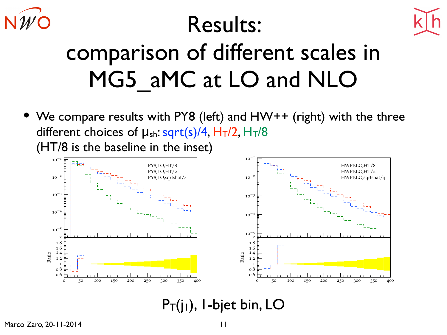



## comparison of different scales in MG5 aMC at LO and NLO

• We compare results with PY8 (left) and HW++ (right) with the three different choices of  $\mu_{sh}:$  sqrt(s)/4,  $H_T/2$ ,  $H_T/8$ (HT/8 is the baseline in the inset)



#### $P_T(j_1)$ , I-bjet bin, LO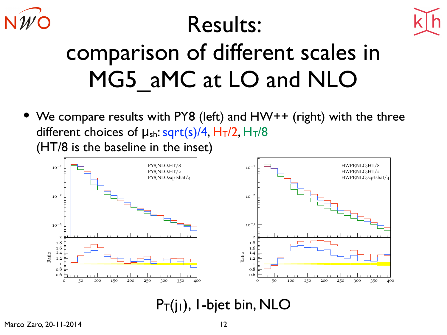



## comparison of different scales in MG5 aMC at LO and NLO

• We compare results with PY8 (left) and HW++ (right) with the three different choices of  $\mu_{sh}:$  sqrt(s)/4,  $H_T/2$ ,  $H_T/8$ (HT/8 is the baseline in the inset)



 $P_T(j_1)$ , I-bjet bin, NLO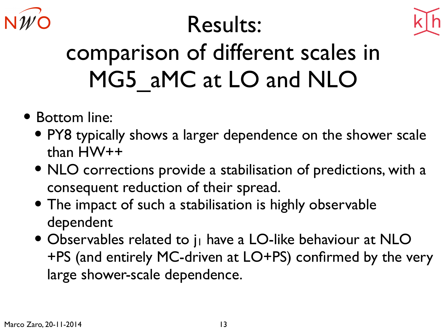



## comparison of different scales in MG5\_aMC at LO and NLO

- Bottom line:
	- PY8 typically shows a larger dependence on the shower scale than HW++
	- NLO corrections provide a stabilisation of predictions, with a consequent reduction of their spread.
	- The impact of such a stabilisation is highly observable dependent
	- Observables related to j<sub>1</sub> have a LO-like behaviour at NLO +PS (and entirely MC-driven at LO+PS) confirmed by the very large shower-scale dependence.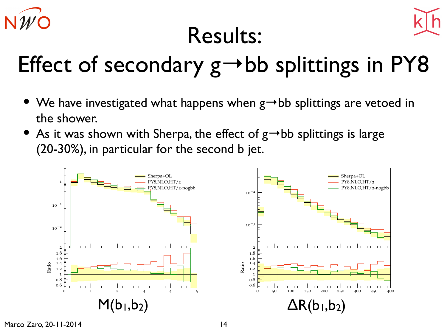

## Effect of secondary  $g \rightarrow bb$  splittings in PY8

- We have investigated what happens when  $g \rightarrow bb$  splittings are vetoed in the shower.
- As it was shown with Sherpa, the effect of  $g \rightarrow bb$  splittings is large (20-30%), in particular for the second b jet.



Marco Zaro, 20-11-2014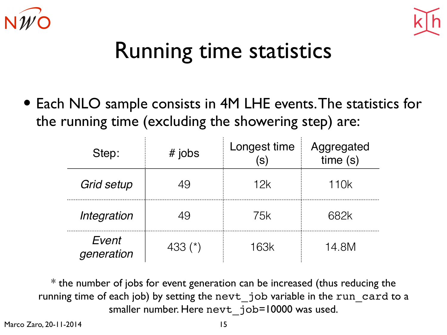



#### Running time statistics

• Each NLO sample consists in 4M LHE events. The statistics for the running time (excluding the showering step) are:

| Step:               | $#$ jobs  | Longest time<br>$\left( s\right)$ | Aggregated<br>time(s) |
|---------------------|-----------|-----------------------------------|-----------------------|
| <b>Grid setup</b>   | 49        | 12k                               | 110k                  |
| Integration         | 49        | 75k                               | 682k                  |
| Event<br>generation | 433 $(*)$ | <b>163k</b>                       | 14.8M                 |

\* the number of jobs for event generation can be increased (thus reducing the running time of each job) by setting the nevt job variable in the run card to a smaller number. Here nevt job=10000 was used.